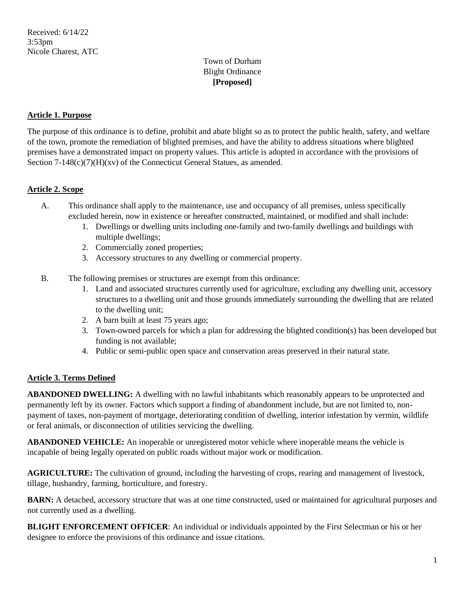# Town of Durham Blight Ordinance **[Proposed]**

# **Article 1. Purpose**

The purpose of this ordinance is to define, prohibit and abate blight so as to protect the public health, safety, and welfare of the town, promote the remediation of blighted premises, and have the ability to address situations where blighted premises have a demonstrated impact on property values. This article is adopted in accordance with the provisions of Section  $7-148(c)(7)(H)(xy)$  of the Connecticut General Statues, as amended.

# **Article 2. Scope**

- A. This ordinance shall apply to the maintenance, use and occupancy of all premises, unless specifically excluded herein, now in existence or hereafter constructed, maintained, or modified and shall include:
	- 1. Dwellings or dwelling units including one-family and two-family dwellings and buildings with multiple dwellings;
	- 2. Commercially zoned properties;
	- 3. Accessory structures to any dwelling or commercial property.
- B. The following premises or structures are exempt from this ordinance:
	- 1. Land and associated structures currently used for agriculture, excluding any dwelling unit, accessory structures to a dwelling unit and those grounds immediately surrounding the dwelling that are related to the dwelling unit;
	- 2. A barn built at least 75 years ago;
	- 3. Town-owned parcels for which a plan for addressing the blighted condition(s) has been developed but funding is not available;
	- 4. Public or semi-public open space and conservation areas preserved in their natural state.

#### **Article 3. Terms Defined**

**ABANDONED DWELLING:** A dwelling with no lawful inhabitants which reasonably appears to be unprotected and permanently left by its owner. Factors which support a finding of abandonment include, but are not limited to, nonpayment of taxes, non-payment of mortgage, deteriorating condition of dwelling, interior infestation by vermin, wildlife or feral animals, or disconnection of utilities servicing the dwelling.

**ABANDONED VEHICLE:** An inoperable or unregistered motor vehicle where inoperable means the vehicle is incapable of being legally operated on public roads without major work or modification.

**AGRICULTURE:** The cultivation of ground, including the harvesting of crops, rearing and management of livestock, tillage, husbandry, farming, horticulture, and forestry.

**BARN:** A detached, accessory structure that was at one time constructed, used or maintained for agricultural purposes and not currently used as a dwelling.

**BLIGHT ENFORCEMENT OFFICER**: An individual or individuals appointed by the First Selectman or his or her designee to enforce the provisions of this ordinance and issue citations.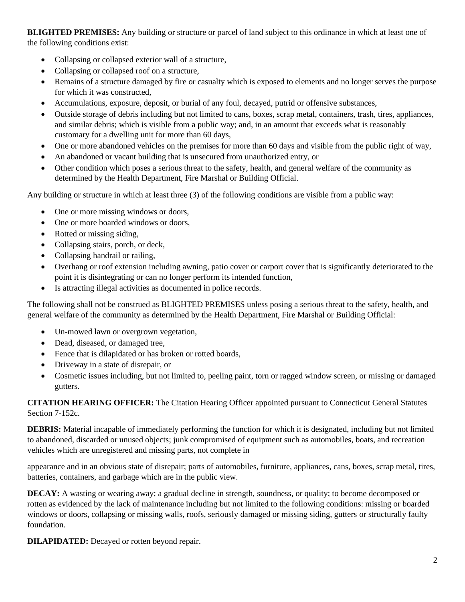**BLIGHTED PREMISES:** Any building or structure or parcel of land subject to this ordinance in which at least one of the following conditions exist:

- Collapsing or collapsed exterior wall of a structure,
- Collapsing or collapsed roof on a structure,
- Remains of a structure damaged by fire or casualty which is exposed to elements and no longer serves the purpose for which it was constructed,
- Accumulations, exposure, deposit, or burial of any foul, decayed, putrid or offensive substances,
- Outside storage of debris including but not limited to cans, boxes, scrap metal, containers, trash, tires, appliances, and similar debris; which is visible from a public way; and, in an amount that exceeds what is reasonably customary for a dwelling unit for more than 60 days,
- One or more abandoned vehicles on the premises for more than 60 days and visible from the public right of way,
- An abandoned or vacant building that is unsecured from unauthorized entry, or
- Other condition which poses a serious threat to the safety, health, and general welfare of the community as determined by the Health Department, Fire Marshal or Building Official.

Any building or structure in which at least three (3) of the following conditions are visible from a public way:

- One or more missing windows or doors,
- One or more boarded windows or doors,
- Rotted or missing siding,
- Collapsing stairs, porch, or deck,
- Collapsing handrail or railing,
- Overhang or roof extension including awning, patio cover or carport cover that is significantly deteriorated to the point it is disintegrating or can no longer perform its intended function,
- Is attracting illegal activities as documented in police records.

The following shall not be construed as BLIGHTED PREMISES unless posing a serious threat to the safety, health, and general welfare of the community as determined by the Health Department, Fire Marshal or Building Official:

- Un-mowed lawn or overgrown vegetation,
- Dead, diseased, or damaged tree,
- Fence that is dilapidated or has broken or rotted boards,
- Driveway in a state of disrepair, or
- Cosmetic issues including, but not limited to, peeling paint, torn or ragged window screen, or missing or damaged gutters.

**CITATION HEARING OFFICER:** The Citation Hearing Officer appointed pursuant to Connecticut General Statutes Section 7-152c.

**DEBRIS:** Material incapable of immediately performing the function for which it is designated, including but not limited to abandoned, discarded or unused objects; junk compromised of equipment such as automobiles, boats, and recreation vehicles which are unregistered and missing parts, not complete in

appearance and in an obvious state of disrepair; parts of automobiles, furniture, appliances, cans, boxes, scrap metal, tires, batteries, containers, and garbage which are in the public view.

**DECAY:** A wasting or wearing away; a gradual decline in strength, soundness, or quality; to become decomposed or rotten as evidenced by the lack of maintenance including but not limited to the following conditions: missing or boarded windows or doors, collapsing or missing walls, roofs, seriously damaged or missing siding, gutters or structurally faulty foundation.

**DILAPIDATED:** Decayed or rotten beyond repair.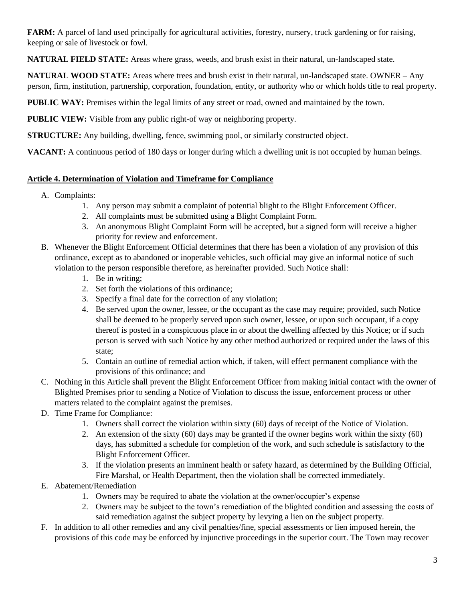**FARM:** A parcel of land used principally for agricultural activities, forestry, nursery, truck gardening or for raising, keeping or sale of livestock or fowl.

**NATURAL FIELD STATE:** Areas where grass, weeds, and brush exist in their natural, un-landscaped state.

**NATURAL WOOD STATE:** Areas where trees and brush exist in their natural, un-landscaped state. OWNER – Any person, firm, institution, partnership, corporation, foundation, entity, or authority who or which holds title to real property.

**PUBLIC WAY:** Premises within the legal limits of any street or road, owned and maintained by the town.

**PUBLIC VIEW:** Visible from any public right-of way or neighboring property.

**STRUCTURE:** Any building, dwelling, fence, swimming pool, or similarly constructed object.

**VACANT:** A continuous period of 180 days or longer during which a dwelling unit is not occupied by human beings.

# **Article 4. Determination of Violation and Timeframe for Compliance**

- A. Complaints:
	- 1. Any person may submit a complaint of potential blight to the Blight Enforcement Officer.
	- 2. All complaints must be submitted using a Blight Complaint Form.
	- 3. An anonymous Blight Complaint Form will be accepted, but a signed form will receive a higher priority for review and enforcement.
- B. Whenever the Blight Enforcement Official determines that there has been a violation of any provision of this ordinance, except as to abandoned or inoperable vehicles, such official may give an informal notice of such violation to the person responsible therefore, as hereinafter provided. Such Notice shall:
	- 1. Be in writing;
	- 2. Set forth the violations of this ordinance;
	- 3. Specify a final date for the correction of any violation;
	- 4. Be served upon the owner, lessee, or the occupant as the case may require; provided, such Notice shall be deemed to be properly served upon such owner, lessee, or upon such occupant, if a copy thereof is posted in a conspicuous place in or about the dwelling affected by this Notice; or if such person is served with such Notice by any other method authorized or required under the laws of this state;
	- 5. Contain an outline of remedial action which, if taken, will effect permanent compliance with the provisions of this ordinance; and
- C. Nothing in this Article shall prevent the Blight Enforcement Officer from making initial contact with the owner of Blighted Premises prior to sending a Notice of Violation to discuss the issue, enforcement process or other matters related to the complaint against the premises.
- D. Time Frame for Compliance:
	- 1. Owners shall correct the violation within sixty (60) days of receipt of the Notice of Violation.
	- 2. An extension of the sixty (60) days may be granted if the owner begins work within the sixty (60) days, has submitted a schedule for completion of the work, and such schedule is satisfactory to the Blight Enforcement Officer.
	- 3. If the violation presents an imminent health or safety hazard, as determined by the Building Official, Fire Marshal, or Health Department, then the violation shall be corrected immediately.
- E. Abatement/Remediation
	- 1. Owners may be required to abate the violation at the owner/occupier's expense
	- 2. Owners may be subject to the town's remediation of the blighted condition and assessing the costs of said remediation against the subject property by levying a lien on the subject property.
- F. In addition to all other remedies and any civil penalties/fine, special assessments or lien imposed herein, the provisions of this code may be enforced by injunctive proceedings in the superior court. The Town may recover